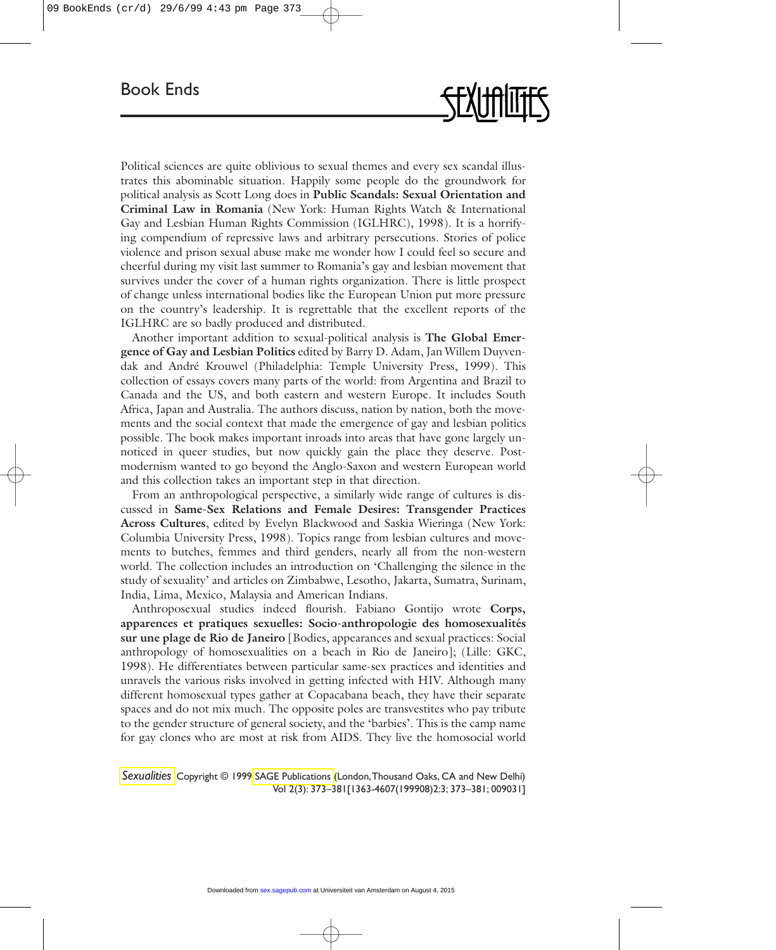Political sciences are quite oblivious to sexual themes and every sex scandal illustrates this abominable situation. Happily some people do the groundwork for political analysis as Scott Long does in **Public Scandals: Sexual Orientation and Criminal Law in Romania** (New York: Human Rights Watch & International Gay and Lesbian Human Rights Commission (IGLHRC), 1998). It is a horrifying compendium of repressive laws and arbitrary persecutions. Stories of police violence and prison sexual abuse make me wonder how I could feel so secure and cheerful during my visit last summer to Romania's gay and lesbian movement that survives under the cover of a human rights organization. There is little prospect of change unless international bodies like the European Union put more pressure on the country's leadership. It is regrettable that the excellent reports of the IGLHRC are so badly produced and distributed.

Another important addition to sexual-political analysis is **The Global Emergence of Gay and Lesbian Politics** edited by Barry D. Adam, Jan Willem Duyvendak and André Krouwel (Philadelphia: Temple University Press, 1999). This collection of essays covers many parts of the world: from Argentina and Brazil to Canada and the US, and both eastern and western Europe. It includes South Africa, Japan and Australia. The authors discuss, nation by nation, both the movements and the social context that made the emergence of gay and lesbian politics possible. The book makes important inroads into areas that have gone largely unnoticed in queer studies, but now quickly gain the place they deserve. Postmodernism wanted to go beyond the Anglo-Saxon and western European world and this collection takes an important step in that direction.

From an anthropological perspective, a similarly wide range of cultures is discussed in **Same-Sex Relations and Female Desires: Transgender Practices Across Cultures**, edited by Evelyn Blackwood and Saskia Wieringa (New York: Columbia University Press, 1998). Topics range from lesbian cultures and movements to butches, femmes and third genders, nearly all from the non-western world. The collection includes an introduction on 'Challenging the silence in the study of sexuality' and articles on Zimbabwe, Lesotho, Jakarta, Sumatra, Surinam, India, Lima, Mexico, Malaysia and American Indians.

Anthroposexual studies indeed flourish. Fabiano Gontijo wrote **Corps, apparences et pratiques sexuelles: Socio-anthropologie des homosexualités sur une plage de Rio de Janeiro** [Bodies, appearances and sexual practices: Social anthropology of homosexualities on a beach in Rio de Janeiro]; (Lille: GKC, 1998). He differentiates between particular same-sex practices and identities and unravels the various risks involved in getting infected with HIV. Although many different homosexual types gather at Copacabana beach, they have their separate spaces and do not mix much. The opposite poles are transvestites who pay tribute to the gender structure of general society, and the 'barbies'. This is the camp name for gay clones who are most at risk from AIDS. They live the homosocial world

*[Sexualities](http://www.sagepub.co.uk/journals/details/j0065.html)* Copyright © 1999 [SAGE Publications](http://www.sagepub.co.uk/) (London,Thousand Oaks, CA and New Delhi) Vol 2(3): 373–381[1363-4607(199908)2:3; 373–381; 009031]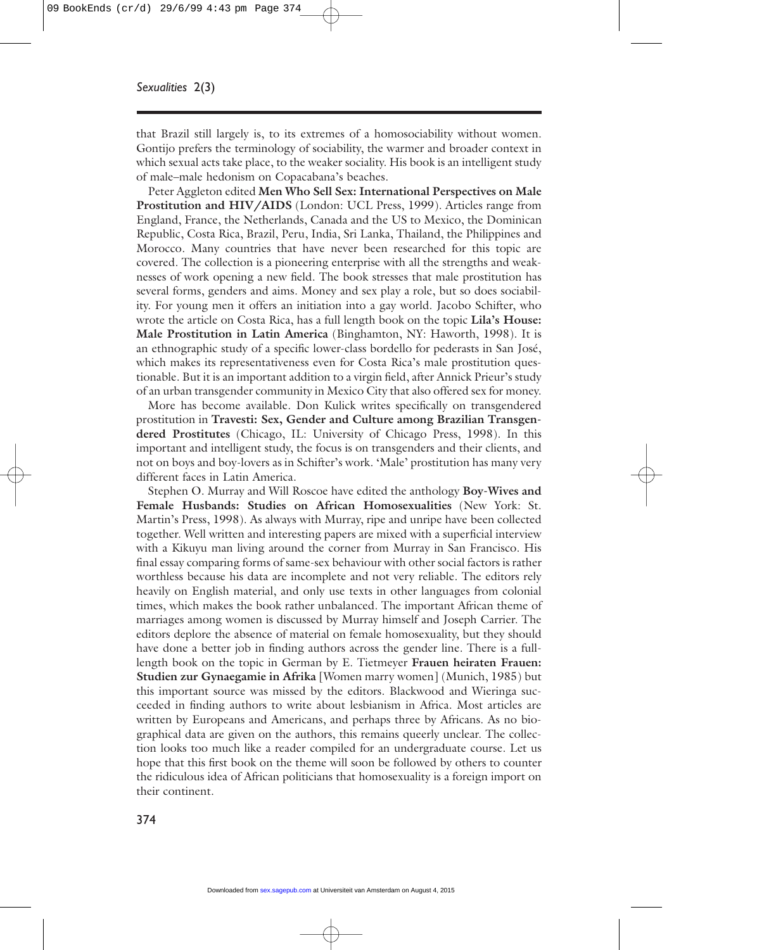that Brazil still largely is, to its extremes of a homosociability without women. Gontijo prefers the terminology of sociability, the warmer and broader context in which sexual acts take place, to the weaker sociality. His book is an intelligent study of male–male hedonism on Copacabana's beaches.

Peter Aggleton edited **Men Who Sell Sex: International Perspectives on Male Prostitution and HIV/AIDS** (London: UCL Press, 1999). Articles range from England, France, the Netherlands, Canada and the US to Mexico, the Dominican Republic, Costa Rica, Brazil, Peru, India, Sri Lanka, Thailand, the Philippines and Morocco. Many countries that have never been researched for this topic are covered. The collection is a pioneering enterprise with all the strengths and weaknesses of work opening a new field. The book stresses that male prostitution has several forms, genders and aims. Money and sex play a role, but so does sociability. For young men it offers an initiation into a gay world. Jacobo Schifter, who wrote the article on Costa Rica, has a full length book on the topic **Lila's House: Male Prostitution in Latin America** (Binghamton, NY: Haworth, 1998). It is an ethnographic study of a specific lower-class bordello for pederasts in San José, which makes its representativeness even for Costa Rica's male prostitution questionable. But it is an important addition to a virgin field, after Annick Prieur's study of an urban transgender community in Mexico City that also offered sex for money.

More has become available. Don Kulick writes specifically on transgendered prostitution in **Travesti: Sex, Gender and Culture among Brazilian Transgendered Prostitutes** (Chicago, IL: University of Chicago Press, 1998). In this important and intelligent study, the focus is on transgenders and their clients, and not on boys and boy-lovers as in Schifter's work. 'Male' prostitution has many very different faces in Latin America.

Stephen O. Murray and Will Roscoe have edited the anthology **Boy-Wives and Female Husbands: Studies on African Homosexualities** (New York: St. Martin's Press, 1998). As always with Murray, ripe and unripe have been collected together. Well written and interesting papers are mixed with a superficial interview with a Kikuyu man living around the corner from Murray in San Francisco. His final essay comparing forms of same-sex behaviour with other social factors is rather worthless because his data are incomplete and not very reliable. The editors rely heavily on English material, and only use texts in other languages from colonial times, which makes the book rather unbalanced. The important African theme of marriages among women is discussed by Murray himself and Joseph Carrier. The editors deplore the absence of material on female homosexuality, but they should have done a better job in finding authors across the gender line. There is a fulllength book on the topic in German by E. Tietmeyer Frauen heiraten Frauen: **Studien zur Gynaegamie in Afrika** [Women marry women] (Munich, 1985) but this important source was missed by the editors. Blackwood and Wieringa succeeded in finding authors to write about lesbianism in Africa. Most articles are written by Europeans and Americans, and perhaps three by Africans. As no biographical data are given on the authors, this remains queerly unclear. The collection looks too much like a reader compiled for an undergraduate course. Let us hope that this first book on the theme will soon be followed by others to counter the ridiculous idea of African politicians that homosexuality is a foreign import on their continent.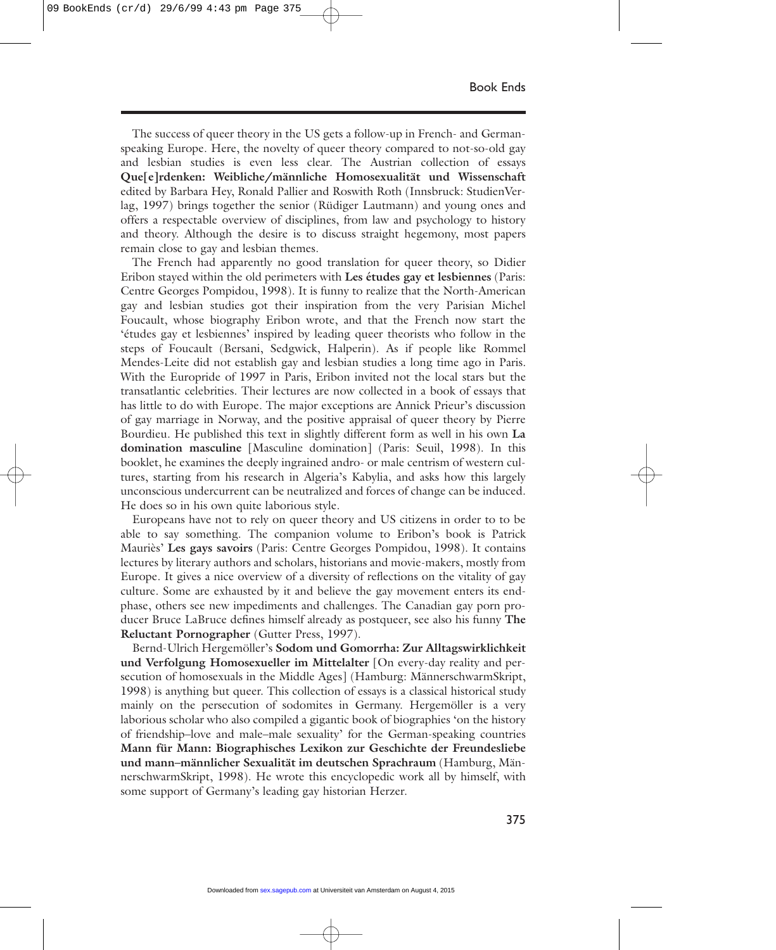The success of queer theory in the US gets a follow-up in French- and Germanspeaking Europe. Here, the novelty of queer theory compared to not-so-old gay and lesbian studies is even less clear. The Austrian collection of essays **Que[e]rdenken: Weibliche/männliche Homosexualität und Wissenschaft** edited by Barbara Hey, Ronald Pallier and Roswith Roth (Innsbruck: StudienVerlag, 1997) brings together the senior (Rüdiger Lautmann) and young ones and offers a respectable overview of disciplines, from law and psychology to history and theory. Although the desire is to discuss straight hegemony, most papers remain close to gay and lesbian themes.

The French had apparently no good translation for queer theory, so Didier Eribon stayed within the old perimeters with **Les études gay et lesbiennes** (Paris: Centre Georges Pompidou, 1998). It is funny to realize that the North-American gay and lesbian studies got their inspiration from the very Parisian Michel Foucault, whose biography Eribon wrote, and that the French now start the 'études gay et lesbiennes' inspired by leading queer theorists who follow in the steps of Foucault (Bersani, Sedgwick, Halperin). As if people like Rommel Mendes-Leite did not establish gay and lesbian studies a long time ago in Paris. With the Europride of 1997 in Paris, Eribon invited not the local stars but the transatlantic celebrities. Their lectures are now collected in a book of essays that has little to do with Europe. The major exceptions are Annick Prieur's discussion of gay marriage in Norway, and the positive appraisal of queer theory by Pierre Bourdieu. He published this text in slightly different form as well in his own **La domination masculine** [Masculine domination] (Paris: Seuil, 1998). In this booklet, he examines the deeply ingrained andro- or male centrism of western cultures, starting from his research in Algeria's Kabylia, and asks how this largely unconscious undercurrent can be neutralized and forces of change can be induced. He does so in his own quite laborious style.

Europeans have not to rely on queer theory and US citizens in order to to be able to say something. The companion volume to Eribon's book is Patrick Mauriès' **Les gays savoirs** (Paris: Centre Georges Pompidou, 1998). It contains lectures by literary authors and scholars, historians and movie-makers, mostly from Europe. It gives a nice overview of a diversity of reflections on the vitality of gay culture. Some are exhausted by it and believe the gay movement enters its endphase, others see new impediments and challenges. The Canadian gay porn producer Bruce LaBruce defines himself already as postqueer, see also his funny **The Reluctant Pornographer** (Gutter Press, 1997).

Bernd-Ulrich Hergemöller's **Sodom und Gomorrha: Zur Alltagswirklichkeit und Verfolgung Homosexueller im Mittelalter** [On every-day reality and persecution of homosexuals in the Middle Ages] (Hamburg: MännerschwarmSkript, 1998) is anything but queer. This collection of essays is a classical historical study mainly on the persecution of sodomites in Germany. Hergemöller is a very laborious scholar who also compiled a gigantic book of biographies 'on the history of friendship–love and male–male sexuality' for the German-speaking countries **Mann für Mann: Biographisches Lexikon zur Geschichte der Freundesliebe und mann–männlicher Sexualität im deutschen Sprachraum** (Hamburg, MännerschwarmSkript, 1998). He wrote this encyclopedic work all by himself, with some support of Germany's leading gay historian Herzer.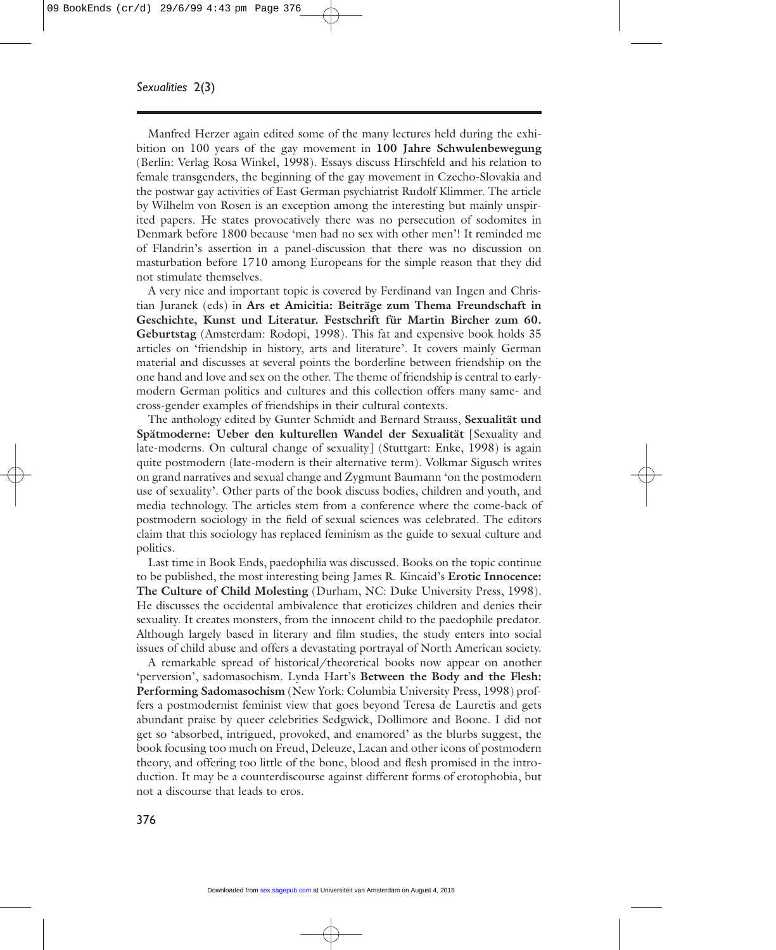Manfred Herzer again edited some of the many lectures held during the exhibition on 100 years of the gay movement in **100 Jahre Schwulenbewegung** (Berlin: Verlag Rosa Winkel, 1998). Essays discuss Hirschfeld and his relation to female transgenders, the beginning of the gay movement in Czecho-Slovakia and the postwar gay activities of East German psychiatrist Rudolf Klimmer. The article by Wilhelm von Rosen is an exception among the interesting but mainly unspirited papers. He states provocatively there was no persecution of sodomites in Denmark before 1800 because 'men had no sex with other men'! It reminded me of Flandrin's assertion in a panel-discussion that there was no discussion on masturbation before 1710 among Europeans for the simple reason that they did not stimulate themselves.

A very nice and important topic is covered by Ferdinand van Ingen and Christian Juranek (eds) in **Ars et Amicitia: Beiträge zum Thema Freundschaft in Geschichte, Kunst und Literatur. Festschrift für Martin Bircher zum 60. Geburtstag** (Amsterdam: Rodopi, 1998). This fat and expensive book holds 35 articles on 'friendship in history, arts and literature'. It covers mainly German material and discusses at several points the borderline between friendship on the one hand and love and sex on the other. The theme of friendship is central to earlymodern German politics and cultures and this collection offers many same- and cross-gender examples of friendships in their cultural contexts.

The anthology edited by Gunter Schmidt and Bernard Strauss, **Sexualität und Spätmoderne: Ueber den kulturellen Wandel der Sexualität** [Sexuality and late-moderns. On cultural change of sexuality] (Stuttgart: Enke, 1998) is again quite postmodern (late-modern is their alternative term). Volkmar Sigusch writes on grand narratives and sexual change and Zygmunt Baumann 'on the postmodern use of sexuality'. Other parts of the book discuss bodies, children and youth, and media technology. The articles stem from a conference where the come-back of postmodern sociology in the field of sexual sciences was celebrated. The editors claim that this sociology has replaced feminism as the guide to sexual culture and politics.

Last time in Book Ends, paedophilia was discussed. Books on the topic continue to be published, the most interesting being James R. Kincaid's **Erotic Innocence: The Culture of Child Molesting** (Durham, NC: Duke University Press, 1998). He discusses the occidental ambivalence that eroticizes children and denies their sexuality. It creates monsters, from the innocent child to the paedophile predator. Although largely based in literary and film studies, the study enters into social issues of child abuse and offers a devastating portrayal of North American society.

A remarkable spread of historical/theoretical books now appear on another 'perversion', sadomasochism. Lynda Hart's **Between the Body and the Flesh: Performing Sadomasochism** (New York: Columbia University Press, 1998) proffers a postmodernist feminist view that goes beyond Teresa de Lauretis and gets abundant praise by queer celebrities Sedgwick, Dollimore and Boone. I did not get so 'absorbed, intrigued, provoked, and enamored' as the blurbs suggest, the book focusing too much on Freud, Deleuze, Lacan and other icons of postmodern theory, and offering too little of the bone, blood and flesh promised in the introduction. It may be a counterdiscourse against different forms of erotophobia, but not a discourse that leads to eros.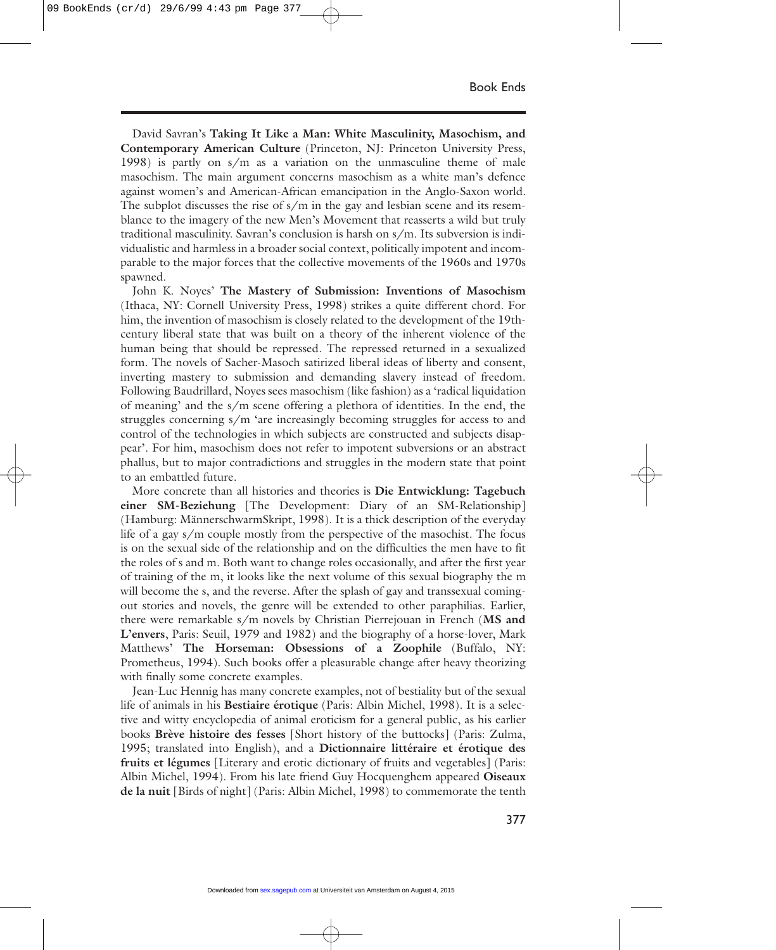David Savran's **Taking It Like a Man: White Masculinity, Masochism, and Contemporary American Culture** (Princeton, NJ: Princeton University Press, 1998) is partly on s/m as a variation on the unmasculine theme of male masochism. The main argument concerns masochism as a white man's defence against women's and American-African emancipation in the Anglo-Saxon world. The subplot discusses the rise of s/m in the gay and lesbian scene and its resemblance to the imagery of the new Men's Movement that reasserts a wild but truly traditional masculinity. Savran's conclusion is harsh on s/m. Its subversion is individualistic and harmless in a broader social context, politically impotent and incomparable to the major forces that the collective movements of the 1960s and 1970s spawned.

John K. Noyes' **The Mastery of Submission: Inventions of Masochism** (Ithaca, NY: Cornell University Press, 1998) strikes a quite different chord. For him, the invention of masochism is closely related to the development of the 19thcentury liberal state that was built on a theory of the inherent violence of the human being that should be repressed. The repressed returned in a sexualized form. The novels of Sacher-Masoch satirized liberal ideas of liberty and consent, inverting mastery to submission and demanding slavery instead of freedom. Following Baudrillard, Noyes sees masochism (like fashion) as a 'radical liquidation of meaning' and the s/m scene offering a plethora of identities. In the end, the struggles concerning s/m 'are increasingly becoming struggles for access to and control of the technologies in which subjects are constructed and subjects disappear'. For him, masochism does not refer to impotent subversions or an abstract phallus, but to major contradictions and struggles in the modern state that point to an embattled future.

More concrete than all histories and theories is **Die Entwicklung: Tagebuch einer SM-Beziehung** [The Development: Diary of an SM-Relationship] (Hamburg: MännerschwarmSkript, 1998). It is a thick description of the everyday life of a gay s/m couple mostly from the perspective of the masochist. The focus is on the sexual side of the relationship and on the difficulties the men have to fit the roles of s and m. Both want to change roles occasionally, and after the first year of training of the m, it looks like the next volume of this sexual biography the m will become the s, and the reverse. After the splash of gay and transsexual comingout stories and novels, the genre will be extended to other paraphilias. Earlier, there were remarkable s/m novels by Christian Pierrejouan in French (**MS and L'envers**, Paris: Seuil, 1979 and 1982) and the biography of a horse-lover, Mark Matthews' **The Horseman: Obsessions of a Zoophile** (Buffalo, NY: Prometheus, 1994). Such books offer a pleasurable change after heavy theorizing with finally some concrete examples.

Jean-Luc Hennig has many concrete examples, not of bestiality but of the sexual life of animals in his **Bestiaire érotique** (Paris: Albin Michel, 1998). It is a selective and witty encyclopedia of animal eroticism for a general public, as his earlier books **Brève histoire des fesses** [Short history of the buttocks] (Paris: Zulma, 1995; translated into English), and a **Dictionnaire littéraire et érotique des fruits et légumes** [Literary and erotic dictionary of fruits and vegetables] (Paris: Albin Michel, 1994). From his late friend Guy Hocquenghem appeared **Oiseaux de la nuit** [Birds of night] (Paris: Albin Michel, 1998) to commemorate the tenth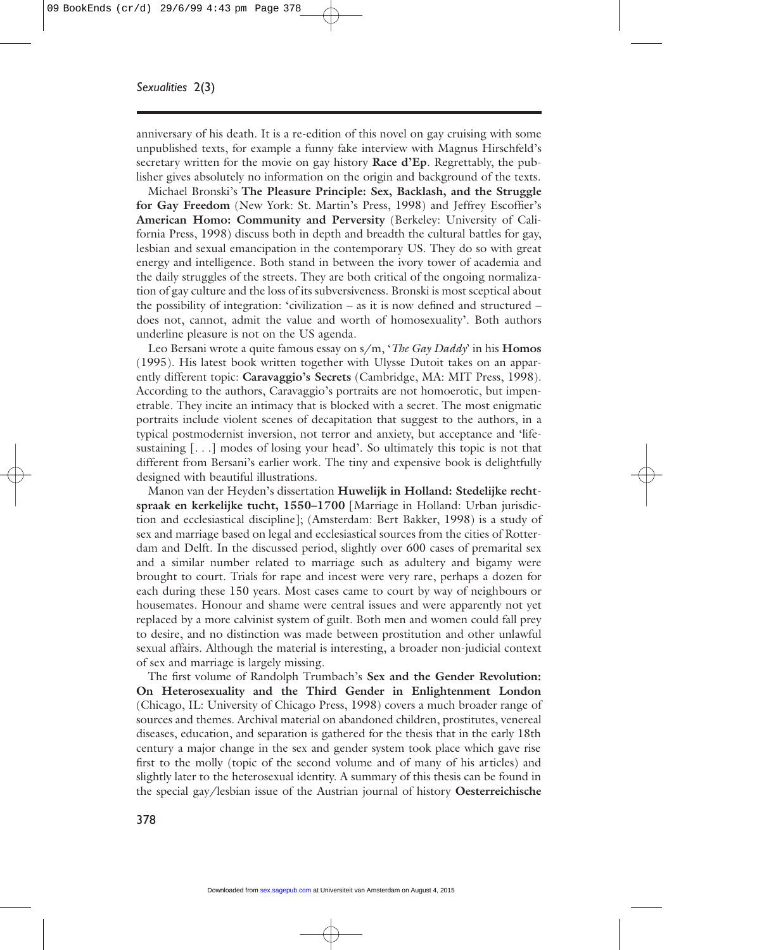anniversary of his death. It is a re-edition of this novel on gay cruising with some unpublished texts, for example a funny fake interview with Magnus Hirschfeld's secretary written for the movie on gay history **Race d'Ep**. Regrettably, the publisher gives absolutely no information on the origin and background of the texts.

Michael Bronski's **The Pleasure Principle: Sex, Backlash, and the Struggle for Gay Freedom** (New York: St. Martin's Press, 1998) and Jeffrey Escoffier's **American Homo: Community and Perversity** (Berkeley: University of California Press, 1998) discuss both in depth and breadth the cultural battles for gay, lesbian and sexual emancipation in the contemporary US. They do so with great energy and intelligence. Both stand in between the ivory tower of academia and the daily struggles of the streets. They are both critical of the ongoing normalization of gay culture and the loss of its subversiveness. Bronski is most sceptical about the possibility of integration: 'civilization – as it is now defined and structured – does not, cannot, admit the value and worth of homosexuality'. Both authors underline pleasure is not on the US agenda.

Leo Bersani wrote a quite famous essay on s/m, '*The Gay Daddy*' in his **Homos** (1995). His latest book written together with Ulysse Dutoit takes on an apparently different topic: **Caravaggio's Secrets** (Cambridge, MA: MIT Press, 1998). According to the authors, Caravaggio's portraits are not homoerotic, but impenetrable. They incite an intimacy that is blocked with a secret. The most enigmatic portraits include violent scenes of decapitation that suggest to the authors, in a typical postmodernist inversion, not terror and anxiety, but acceptance and 'lifesustaining [. . .] modes of losing your head'. So ultimately this topic is not that different from Bersani's earlier work. The tiny and expensive book is delightfully designed with beautiful illustrations.

Manon van der Heyden's dissertation **Huwelijk in Holland: Stedelijke rechtspraak en kerkelijke tucht, 1550–1700** [Marriage in Holland: Urban jurisdiction and ecclesiastical discipline]; (Amsterdam: Bert Bakker, 1998) is a study of sex and marriage based on legal and ecclesiastical sources from the cities of Rotterdam and Delft. In the discussed period, slightly over 600 cases of premarital sex and a similar number related to marriage such as adultery and bigamy were brought to court. Trials for rape and incest were very rare, perhaps a dozen for each during these 150 years. Most cases came to court by way of neighbours or housemates. Honour and shame were central issues and were apparently not yet replaced by a more calvinist system of guilt. Both men and women could fall prey to desire, and no distinction was made between prostitution and other unlawful sexual affairs. Although the material is interesting, a broader non-judicial context of sex and marriage is largely missing.

The first volume of Randolph Trumbach's **Sex and the Gender Revolution: On Heterosexuality and the Third Gender in Enlightenment London** (Chicago, IL: University of Chicago Press, 1998) covers a much broader range of sources and themes. Archival material on abandoned children, prostitutes, venereal diseases, education, and separation is gathered for the thesis that in the early 18th century a major change in the sex and gender system took place which gave rise first to the molly (topic of the second volume and of many of his articles) and slightly later to the heterosexual identity. A summary of this thesis can be found in the special gay/lesbian issue of the Austrian journal of history **Oesterreichische**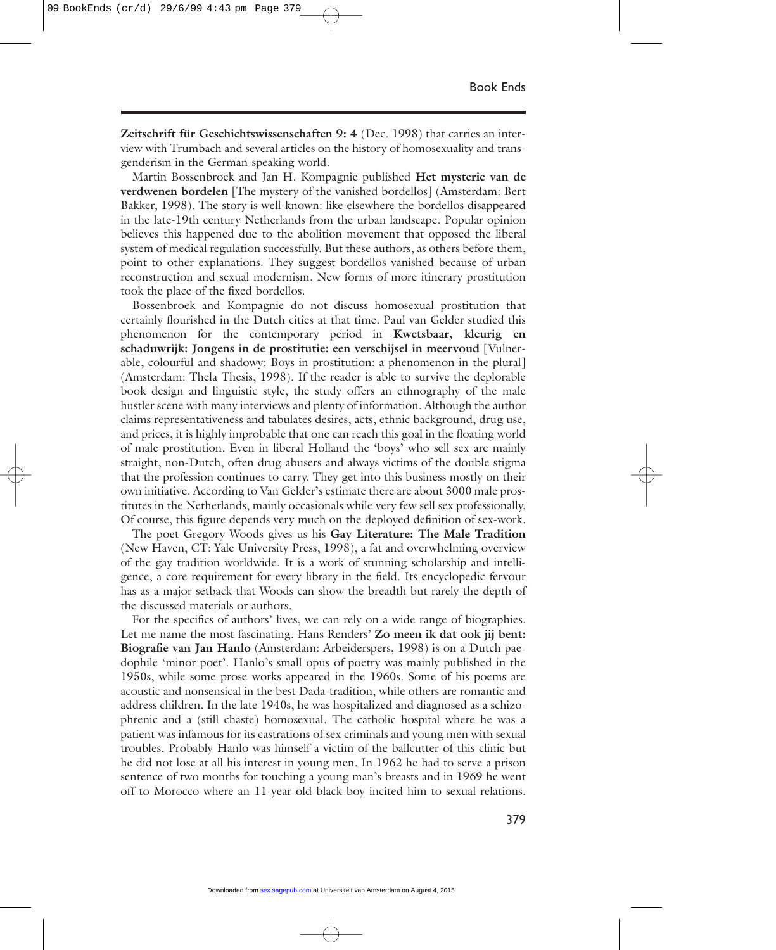**Zeitschrift für Geschichtswissenschaften 9: 4** (Dec. 1998) that carries an interview with Trumbach and several articles on the history of homosexuality and transgenderism in the German-speaking world.

Martin Bossenbroek and Jan H. Kompagnie published **Het mysterie van de verdwenen bordelen** [The mystery of the vanished bordellos] (Amsterdam: Bert Bakker, 1998). The story is well-known: like elsewhere the bordellos disappeared in the late-19th century Netherlands from the urban landscape. Popular opinion believes this happened due to the abolition movement that opposed the liberal system of medical regulation successfully. But these authors, as others before them, point to other explanations. They suggest bordellos vanished because of urban reconstruction and sexual modernism. New forms of more itinerary prostitution took the place of the fixed bordellos.

Bossenbroek and Kompagnie do not discuss homosexual prostitution that certainly flourished in the Dutch cities at that time. Paul van Gelder studied this phenomenon for the contemporary period in **Kwetsbaar, kleurig en schaduwrijk: Jongens in de prostitutie: een verschijsel in meervoud** [Vulnerable, colourful and shadowy: Boys in prostitution: a phenomenon in the plural] (Amsterdam: Thela Thesis, 1998). If the reader is able to survive the deplorable book design and linguistic style, the study offers an ethnography of the male hustler scene with many interviews and plenty of information. Although the author claims representativeness and tabulates desires, acts, ethnic background, drug use, and prices, it is highly improbable that one can reach this goal in the floating world of male prostitution. Even in liberal Holland the 'boys' who sell sex are mainly straight, non-Dutch, often drug abusers and always victims of the double stigma that the profession continues to carry. They get into this business mostly on their own initiative. According to Van Gelder's estimate there are about 3000 male prostitutes in the Netherlands, mainly occasionals while very few sell sex professionally. Of course, this figure depends very much on the deployed definition of sex-work.

The poet Gregory Woods gives us his **Gay Literature: The Male Tradition** (New Haven, CT: Yale University Press, 1998), a fat and overwhelming overview of the gay tradition worldwide. It is a work of stunning scholarship and intelligence, a core requirement for every library in the field. Its encyclopedic fervour has as a major setback that Woods can show the breadth but rarely the depth of the discussed materials or authors.

For the specifics of authors' lives, we can rely on a wide range of biographies. Let me name the most fascinating. Hans Renders' **Zo meen ik dat ook jij bent: Biografie van Jan Hanlo** (Amsterdam: Arbeiderspers, 1998) is on a Dutch paedophile 'minor poet'. Hanlo's small opus of poetry was mainly published in the 1950s, while some prose works appeared in the 1960s. Some of his poems are acoustic and nonsensical in the best Dada-tradition, while others are romantic and address children. In the late 1940s, he was hospitalized and diagnosed as a schizophrenic and a (still chaste) homosexual. The catholic hospital where he was a patient was infamous for its castrations of sex criminals and young men with sexual troubles. Probably Hanlo was himself a victim of the ballcutter of this clinic but he did not lose at all his interest in young men. In 1962 he had to serve a prison sentence of two months for touching a young man's breasts and in 1969 he went off to Morocco where an 11-year old black boy incited him to sexual relations.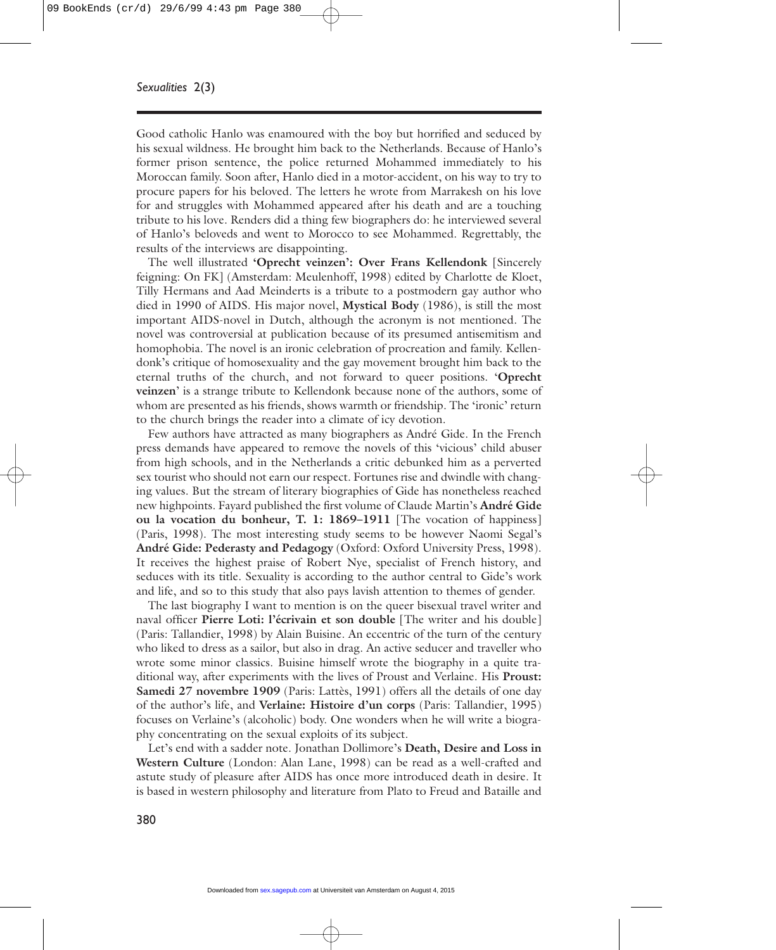Good catholic Hanlo was enamoured with the boy but horrified and seduced by his sexual wildness. He brought him back to the Netherlands. Because of Hanlo's former prison sentence, the police returned Mohammed immediately to his Moroccan family. Soon after, Hanlo died in a motor-accident, on his way to try to procure papers for his beloved. The letters he wrote from Marrakesh on his love for and struggles with Mohammed appeared after his death and are a touching tribute to his love. Renders did a thing few biographers do: he interviewed several of Hanlo's beloveds and went to Morocco to see Mohammed. Regrettably, the results of the interviews are disappointing.

The well illustrated **'Oprecht veinzen': Over Frans Kellendonk** [Sincerely feigning: On FK] (Amsterdam: Meulenhoff, 1998) edited by Charlotte de Kloet, Tilly Hermans and Aad Meinderts is a tribute to a postmodern gay author who died in 1990 of AIDS. His major novel, **Mystical Body** (1986), is still the most important AIDS-novel in Dutch, although the acronym is not mentioned. The novel was controversial at publication because of its presumed antisemitism and homophobia. The novel is an ironic celebration of procreation and family. Kellendonk's critique of homosexuality and the gay movement brought him back to the eternal truths of the church, and not forward to queer positions. '**Oprecht veinzen**' is a strange tribute to Kellendonk because none of the authors, some of whom are presented as his friends, shows warmth or friendship. The 'ironic' return to the church brings the reader into a climate of icy devotion.

Few authors have attracted as many biographers as André Gide. In the French press demands have appeared to remove the novels of this 'vicious' child abuser from high schools, and in the Netherlands a critic debunked him as a perverted sex tourist who should not earn our respect. Fortunes rise and dwindle with changing values. But the stream of literary biographies of Gide has nonetheless reached new highpoints. Fayard published the first volume of Claude Martin's **André Gide ou la vocation du bonheur, T. 1: 1869–1911** [The vocation of happiness] (Paris, 1998). The most interesting study seems to be however Naomi Segal's **André Gide: Pederasty and Pedagogy** (Oxford: Oxford University Press, 1998). It receives the highest praise of Robert Nye, specialist of French history, and seduces with its title. Sexuality is according to the author central to Gide's work and life, and so to this study that also pays lavish attention to themes of gender.

The last biography I want to mention is on the queer bisexual travel writer and naval officer **Pierre Loti: l'écrivain et son double** [The writer and his double] (Paris: Tallandier, 1998) by Alain Buisine. An eccentric of the turn of the century who liked to dress as a sailor, but also in drag. An active seducer and traveller who wrote some minor classics. Buisine himself wrote the biography in a quite traditional way, after experiments with the lives of Proust and Verlaine. His **Proust: Samedi 27 novembre 1909** (Paris: Lattès, 1991) offers all the details of one day of the author's life, and **Verlaine: Histoire d'un corps** (Paris: Tallandier, 1995) focuses on Verlaine's (alcoholic) body. One wonders when he will write a biography concentrating on the sexual exploits of its subject.

Let's end with a sadder note. Jonathan Dollimore's **Death, Desire and Loss in Western Culture** (London: Alan Lane, 1998) can be read as a well-crafted and astute study of pleasure after AIDS has once more introduced death in desire. It is based in western philosophy and literature from Plato to Freud and Bataille and